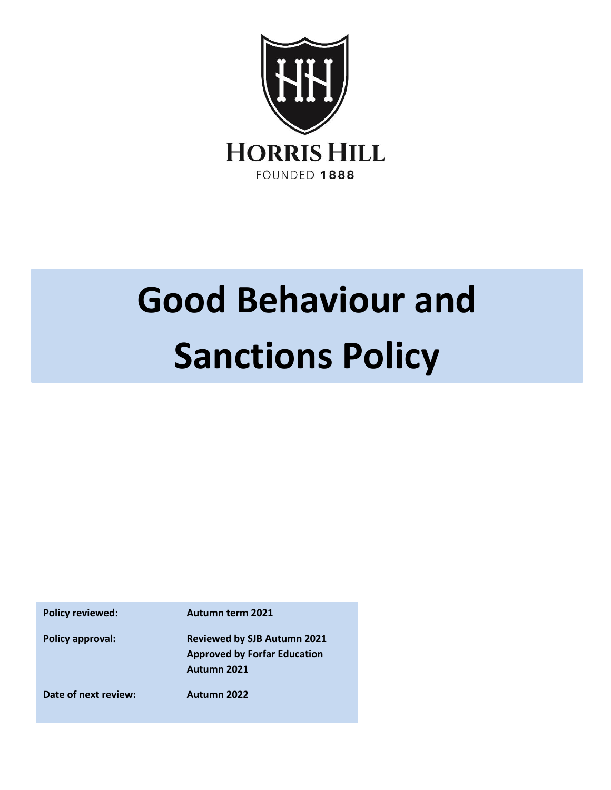

# **Good Behaviour and Sanctions Policy**

**Policy approval: Reviewed by SJB Autumn 2021 Approved by Forfar Education Autumn 2021 Date of next review: Autumn 2022**

**Policy reviewed: Autumn term 2021**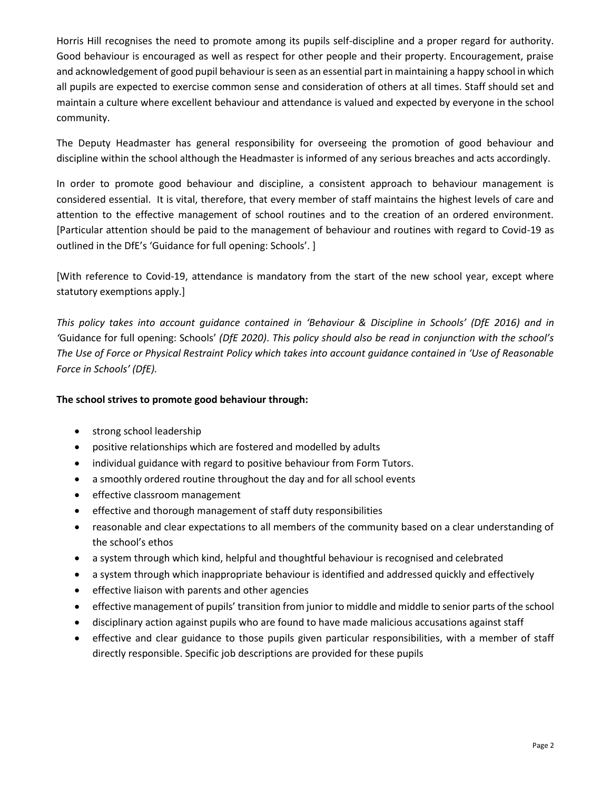Horris Hill recognises the need to promote among its pupils self-discipline and a proper regard for authority. Good behaviour is encouraged as well as respect for other people and their property. Encouragement, praise and acknowledgement of good pupil behaviour is seen as an essential part in maintaining a happy school in which all pupils are expected to exercise common sense and consideration of others at all times. Staff should set and maintain a culture where excellent behaviour and attendance is valued and expected by everyone in the school community.

The Deputy Headmaster has general responsibility for overseeing the promotion of good behaviour and discipline within the school although the Headmaster is informed of any serious breaches and acts accordingly.

In order to promote good behaviour and discipline, a consistent approach to behaviour management is considered essential. It is vital, therefore, that every member of staff maintains the highest levels of care and attention to the effective management of school routines and to the creation of an ordered environment. [Particular attention should be paid to the management of behaviour and routines with regard to Covid-19 as outlined in the DfE's 'Guidance for full opening: Schools'. ]

[With reference to Covid-19, attendance is mandatory from the start of the new school year, except where statutory exemptions apply.]

*This policy takes into account guidance contained in 'Behaviour & Discipline in Schools' (DfE 2016) and in '*Guidance for full opening: Schools' *(DfE 2020)*. *This policy should also be read in conjunction with the school's The Use of Force or Physical Restraint Policy which takes into account guidance contained in 'Use of Reasonable Force in Schools' (DfE).*

#### **The school strives to promote good behaviour through:**

- strong school leadership
- positive relationships which are fostered and modelled by adults
- individual guidance with regard to positive behaviour from Form Tutors.
- a smoothly ordered routine throughout the day and for all school events
- effective classroom management
- effective and thorough management of staff duty responsibilities
- reasonable and clear expectations to all members of the community based on a clear understanding of the school's ethos
- a system through which kind, helpful and thoughtful behaviour is recognised and celebrated
- a system through which inappropriate behaviour is identified and addressed quickly and effectively
- effective liaison with parents and other agencies
- effective management of pupils' transition from junior to middle and middle to senior parts of the school
- disciplinary action against pupils who are found to have made malicious accusations against staff
- effective and clear guidance to those pupils given particular responsibilities, with a member of staff directly responsible. Specific job descriptions are provided for these pupils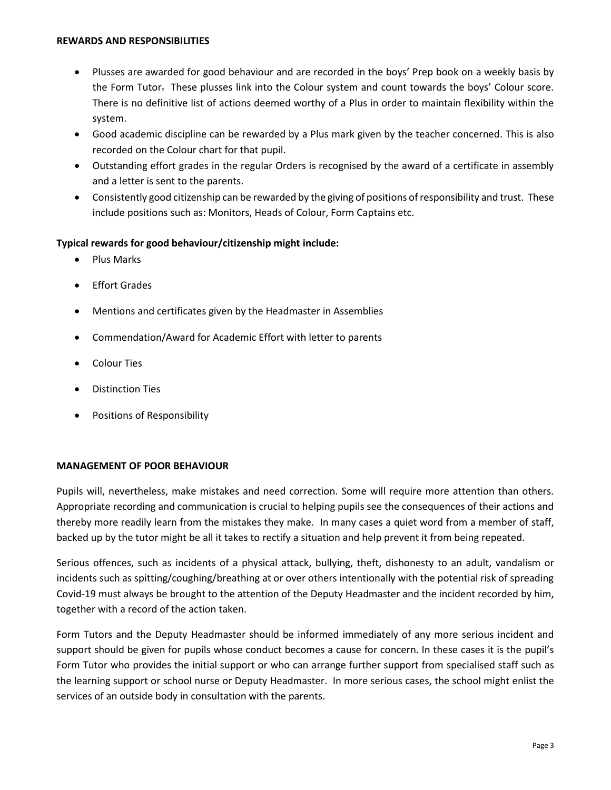#### **REWARDS AND RESPONSIBILITIES**

- Plusses are awarded for good behaviour and are recorded in the boys' Prep book on a weekly basis by the Form Tutor. These plusses link into the Colour system and count towards the boys' Colour score. There is no definitive list of actions deemed worthy of a Plus in order to maintain flexibility within the system.
- Good academic discipline can be rewarded by a Plus mark given by the teacher concerned. This is also recorded on the Colour chart for that pupil.
- Outstanding effort grades in the regular Orders is recognised by the award of a certificate in assembly and a letter is sent to the parents.
- Consistently good citizenship can be rewarded by the giving of positions of responsibility and trust. These include positions such as: Monitors, Heads of Colour, Form Captains etc.

#### **Typical rewards for good behaviour/citizenship might include:**

- Plus Marks
- Effort Grades
- Mentions and certificates given by the Headmaster in Assemblies
- Commendation/Award for Academic Effort with letter to parents
- Colour Ties
- Distinction Ties
- Positions of Responsibility

#### **MANAGEMENT OF POOR BEHAVIOUR**

Pupils will, nevertheless, make mistakes and need correction. Some will require more attention than others. Appropriate recording and communication is crucial to helping pupils see the consequences of their actions and thereby more readily learn from the mistakes they make. In many cases a quiet word from a member of staff, backed up by the tutor might be all it takes to rectify a situation and help prevent it from being repeated.

Serious offences, such as incidents of a physical attack, bullying, theft, dishonesty to an adult, vandalism or incidents such as spitting/coughing/breathing at or over others intentionally with the potential risk of spreading Covid-19 must always be brought to the attention of the Deputy Headmaster and the incident recorded by him, together with a record of the action taken.

Form Tutors and the Deputy Headmaster should be informed immediately of any more serious incident and support should be given for pupils whose conduct becomes a cause for concern. In these cases it is the pupil's Form Tutor who provides the initial support or who can arrange further support from specialised staff such as the learning support or school nurse or Deputy Headmaster. In more serious cases, the school might enlist the services of an outside body in consultation with the parents.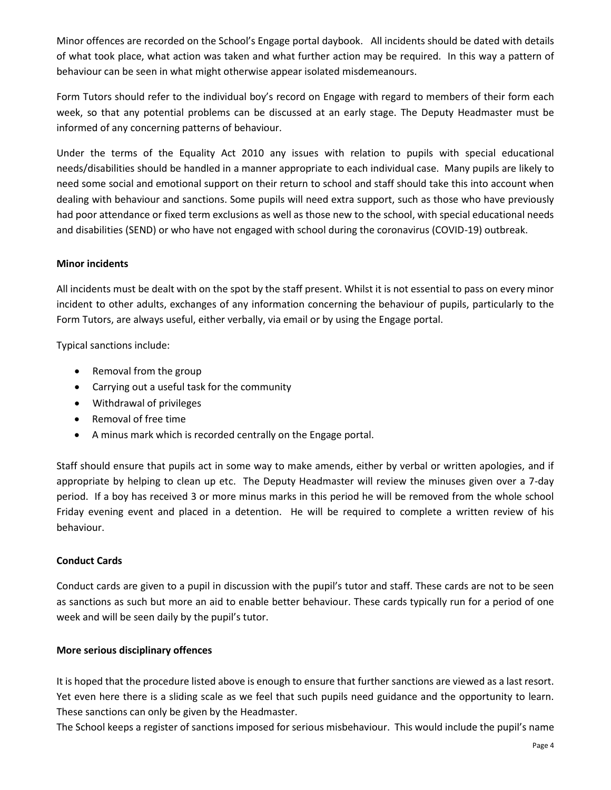Minor offences are recorded on the School's Engage portal daybook. All incidents should be dated with details of what took place, what action was taken and what further action may be required. In this way a pattern of behaviour can be seen in what might otherwise appear isolated misdemeanours.

Form Tutors should refer to the individual boy's record on Engage with regard to members of their form each week, so that any potential problems can be discussed at an early stage. The Deputy Headmaster must be informed of any concerning patterns of behaviour.

Under the terms of the Equality Act 2010 any issues with relation to pupils with special educational needs/disabilities should be handled in a manner appropriate to each individual case. Many pupils are likely to need some social and emotional support on their return to school and staff should take this into account when dealing with behaviour and sanctions. Some pupils will need extra support, such as those who have previously had poor attendance or fixed term exclusions as well as those new to the school, with special educational needs and disabilities (SEND) or who have not engaged with school during the coronavirus (COVID-19) outbreak.

## **Minor incidents**

All incidents must be dealt with on the spot by the staff present. Whilst it is not essential to pass on every minor incident to other adults, exchanges of any information concerning the behaviour of pupils, particularly to the Form Tutors, are always useful, either verbally, via email or by using the Engage portal.

Typical sanctions include:

- Removal from the group
- Carrying out a useful task for the community
- Withdrawal of privileges
- Removal of free time
- A minus mark which is recorded centrally on the Engage portal.

Staff should ensure that pupils act in some way to make amends, either by verbal or written apologies, and if appropriate by helping to clean up etc. The Deputy Headmaster will review the minuses given over a 7-day period. If a boy has received 3 or more minus marks in this period he will be removed from the whole school Friday evening event and placed in a detention. He will be required to complete a written review of his behaviour.

#### **Conduct Cards**

Conduct cards are given to a pupil in discussion with the pupil's tutor and staff. These cards are not to be seen as sanctions as such but more an aid to enable better behaviour. These cards typically run for a period of one week and will be seen daily by the pupil's tutor.

#### **More serious disciplinary offences**

It is hoped that the procedure listed above is enough to ensure that further sanctions are viewed as a last resort. Yet even here there is a sliding scale as we feel that such pupils need guidance and the opportunity to learn. These sanctions can only be given by the Headmaster.

The School keeps a register of sanctions imposed for serious misbehaviour. This would include the pupil's name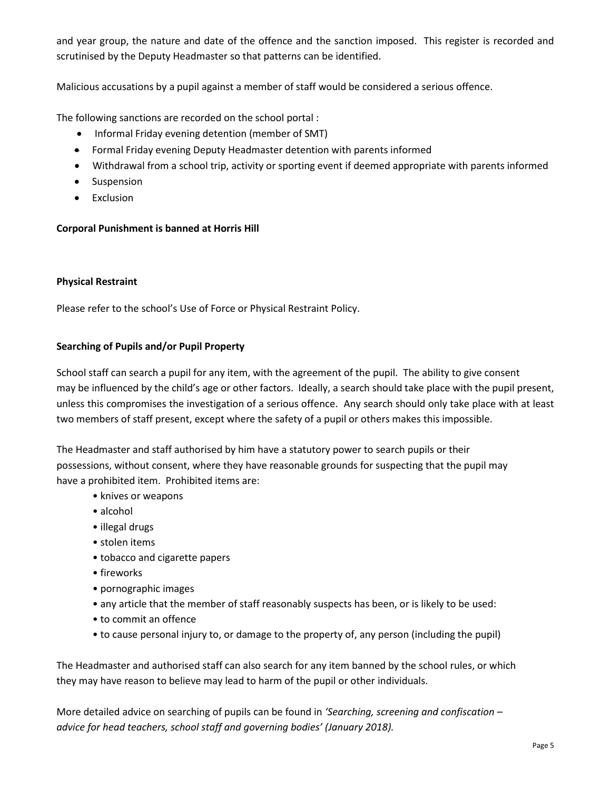and year group, the nature and date of the offence and the sanction imposed. This register is recorded and scrutinised by the Deputy Headmaster so that patterns can be identified.

Malicious accusations by a pupil against a member of staff would be considered a serious offence.

The following sanctions are recorded on the school portal :

- Informal Friday evening detention (member of SMT)
- Formal Friday evening Deputy Headmaster detention with parents informed
- Withdrawal from a school trip, activity or sporting event if deemed appropriate with parents informed
- Suspension
- Exclusion

# **Corporal Punishment is banned at Horris Hill**

#### **Physical Restraint**

Please refer to the school's Use of Force or Physical Restraint Policy.

## **Searching of Pupils and/or Pupil Property**

School staff can search a pupil for any item, with the agreement of the pupil. The ability to give consent may be influenced by the child's age or other factors. Ideally, a search should take place with the pupil present, unless this compromises the investigation of a serious offence. Any search should only take place with at least two members of staff present, except where the safety of a pupil or others makes this impossible.

The Headmaster and staff authorised by him have a statutory power to search pupils or their possessions, without consent, where they have reasonable grounds for suspecting that the pupil may have a prohibited item. Prohibited items are:

- knives or weapons
- alcohol
- illegal drugs
- stolen items
- tobacco and cigarette papers
- fireworks
- pornographic images
- any article that the member of staff reasonably suspects has been, or is likely to be used:
- to commit an offence
- to cause personal injury to, or damage to the property of, any person (including the pupil)

The Headmaster and authorised staff can also search for any item banned by the school rules, or which they may have reason to believe may lead to harm of the pupil or other individuals.

More detailed advice on searching of pupils can be found in *'Searching, screening and confiscation – advice for head teachers, school staff and governing bodies' (January 2018).*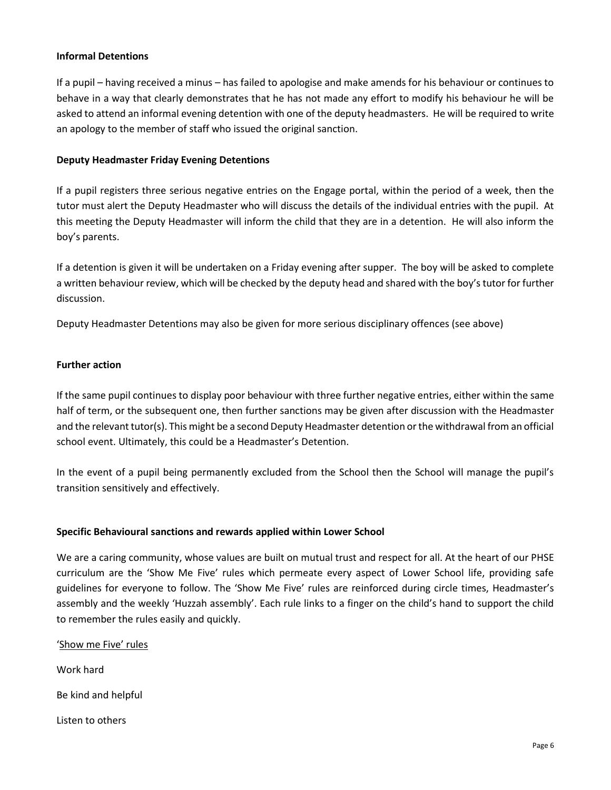#### **Informal Detentions**

If a pupil – having received a minus – has failed to apologise and make amends for his behaviour or continues to behave in a way that clearly demonstrates that he has not made any effort to modify his behaviour he will be asked to attend an informal evening detention with one of the deputy headmasters. He will be required to write an apology to the member of staff who issued the original sanction.

#### **Deputy Headmaster Friday Evening Detentions**

If a pupil registers three serious negative entries on the Engage portal, within the period of a week, then the tutor must alert the Deputy Headmaster who will discuss the details of the individual entries with the pupil. At this meeting the Deputy Headmaster will inform the child that they are in a detention. He will also inform the boy's parents.

If a detention is given it will be undertaken on a Friday evening after supper. The boy will be asked to complete a written behaviour review, which will be checked by the deputy head and shared with the boy's tutor for further discussion.

Deputy Headmaster Detentions may also be given for more serious disciplinary offences (see above)

#### **Further action**

If the same pupil continues to display poor behaviour with three further negative entries, either within the same half of term, or the subsequent one, then further sanctions may be given after discussion with the Headmaster and the relevant tutor(s). This might be a second Deputy Headmaster detention or the withdrawal from an official school event. Ultimately, this could be a Headmaster's Detention.

In the event of a pupil being permanently excluded from the School then the School will manage the pupil's transition sensitively and effectively.

#### **Specific Behavioural sanctions and rewards applied within Lower School**

We are a caring community, whose values are built on mutual trust and respect for all. At the heart of our PHSE curriculum are the 'Show Me Five' rules which permeate every aspect of Lower School life, providing safe guidelines for everyone to follow. The 'Show Me Five' rules are reinforced during circle times, Headmaster's assembly and the weekly 'Huzzah assembly'. Each rule links to a finger on the child's hand to support the child to remember the rules easily and quickly.

'Show me Five' rules Work hard Be kind and helpful Listen to others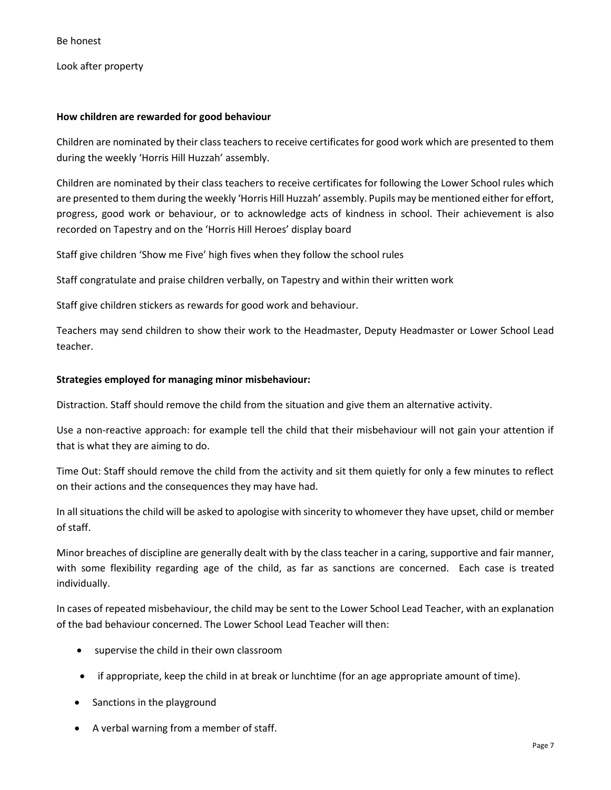Be honest

Look after property

#### **How children are rewarded for good behaviour**

Children are nominated by their class teachers to receive certificates for good work which are presented to them during the weekly 'Horris Hill Huzzah' assembly.

Children are nominated by their class teachers to receive certificates for following the Lower School rules which are presented to them during the weekly 'Horris Hill Huzzah' assembly. Pupils may be mentioned either for effort, progress, good work or behaviour, or to acknowledge acts of kindness in school. Their achievement is also recorded on Tapestry and on the 'Horris Hill Heroes' display board

Staff give children 'Show me Five' high fives when they follow the school rules

Staff congratulate and praise children verbally, on Tapestry and within their written work

Staff give children stickers as rewards for good work and behaviour.

Teachers may send children to show their work to the Headmaster, Deputy Headmaster or Lower School Lead teacher.

#### **Strategies employed for managing minor misbehaviour:**

Distraction. Staff should remove the child from the situation and give them an alternative activity.

Use a non-reactive approach: for example tell the child that their misbehaviour will not gain your attention if that is what they are aiming to do.

Time Out: Staff should remove the child from the activity and sit them quietly for only a few minutes to reflect on their actions and the consequences they may have had.

In all situations the child will be asked to apologise with sincerity to whomever they have upset, child or member of staff.

Minor breaches of discipline are generally dealt with by the class teacher in a caring, supportive and fair manner, with some flexibility regarding age of the child, as far as sanctions are concerned. Each case is treated individually.

In cases of repeated misbehaviour, the child may be sent to the Lower School Lead Teacher, with an explanation of the bad behaviour concerned. The Lower School Lead Teacher will then:

- supervise the child in their own classroom
- if appropriate, keep the child in at break or lunchtime (for an age appropriate amount of time).
- Sanctions in the playground
- A verbal warning from a member of staff.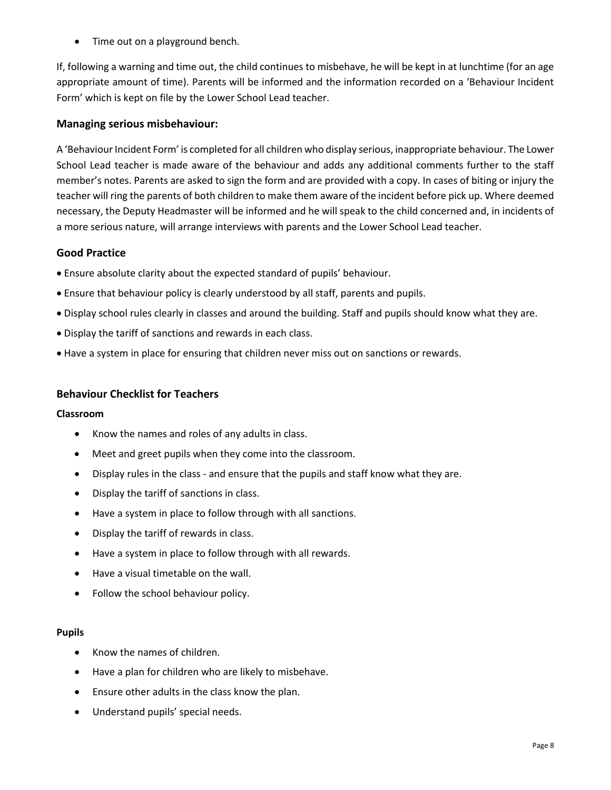• Time out on a playground bench.

If, following a warning and time out, the child continues to misbehave, he will be kept in at lunchtime (for an age appropriate amount of time). Parents will be informed and the information recorded on a 'Behaviour Incident Form' which is kept on file by the Lower School Lead teacher.

## **Managing serious misbehaviour:**

A 'Behaviour Incident Form' is completed for all children who display serious, inappropriate behaviour. The Lower School Lead teacher is made aware of the behaviour and adds any additional comments further to the staff member's notes. Parents are asked to sign the form and are provided with a copy. In cases of biting or injury the teacher will ring the parents of both children to make them aware of the incident before pick up. Where deemed necessary, the Deputy Headmaster will be informed and he will speak to the child concerned and, in incidents of a more serious nature, will arrange interviews with parents and the Lower School Lead teacher.

# **Good Practice**

- Ensure absolute clarity about the expected standard of pupils' behaviour.
- Ensure that behaviour policy is clearly understood by all staff, parents and pupils.
- Display school rules clearly in classes and around the building. Staff and pupils should know what they are.
- Display the tariff of sanctions and rewards in each class.
- Have a system in place for ensuring that children never miss out on sanctions or rewards.

#### **Behaviour Checklist for Teachers**

#### **Classroom**

- Know the names and roles of any adults in class.
- Meet and greet pupils when they come into the classroom.
- Display rules in the class and ensure that the pupils and staff know what they are.
- Display the tariff of sanctions in class.
- Have a system in place to follow through with all sanctions.
- Display the tariff of rewards in class.
- Have a system in place to follow through with all rewards.
- Have a visual timetable on the wall.
- Follow the school behaviour policy.

#### **Pupils**

- Know the names of children.
- Have a plan for children who are likely to misbehave.
- Ensure other adults in the class know the plan.
- Understand pupils' special needs.